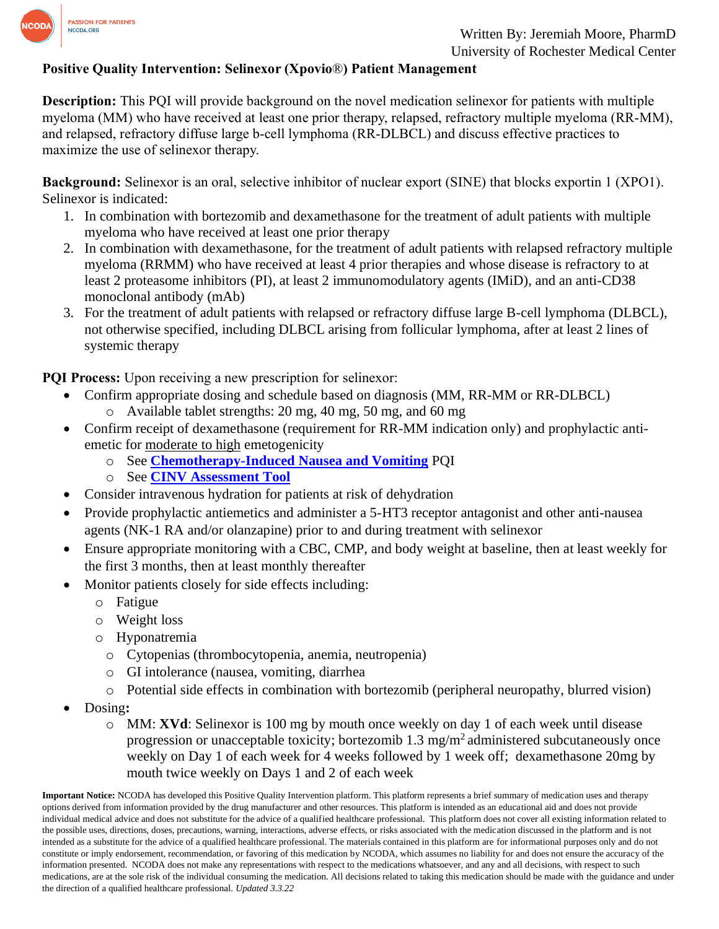

#### **Positive Quality Intervention: Selinexor (Xpovio**®**) Patient Management**

**Description:** This PQI will provide background on the novel medication selinexor for patients with multiple myeloma (MM) who have received at least one prior therapy, relapsed, refractory multiple myeloma (RR-MM), and relapsed, refractory diffuse large b-cell lymphoma (RR-DLBCL) and discuss effective practices to maximize the use of selinexor therapy.

**Background:** Selinexor is an oral, selective inhibitor of nuclear export (SINE) that blocks exportin 1 (XPO1). Selinexor is indicated:

- 1. In combination with bortezomib and dexamethasone for the treatment of adult patients with multiple myeloma who have received at least one prior therapy
- 2. In combination with dexamethasone, for the treatment of adult patients with relapsed refractory multiple myeloma (RRMM) who have received at least 4 prior therapies and whose disease is refractory to at least 2 proteasome inhibitors (PI), at least 2 immunomodulatory agents (IMiD), and an anti-CD38 monoclonal antibody (mAb)
- 3. For the treatment of adult patients with relapsed or refractory diffuse large B-cell lymphoma (DLBCL), not otherwise specified, including DLBCL arising from follicular lymphoma, after at least 2 lines of systemic therapy

**PQI Process:** Upon receiving a new prescription for selinexor:

- Confirm appropriate dosing and schedule based on diagnosis (MM, RR-MM or RR-DLBCL)
	- o Available tablet strengths: 20 mg, 40 mg, 50 mg, and 60 mg
- Confirm receipt of dexamethasone (requirement for RR-MM indication only) and prophylactic antiemetic for moderate to high emetogenicity
	- o See **[Chemotherapy-Induced Nausea and Vomiting](https://www.ncoda.org/wp-content/uploads/pqis/Chemotherapy-Induced-Nausea-and-Vomiting_PQI_NCODA.pdf)** PQI
	- o See **[CINV Assessment Tool](https://www.ncoda.org/toolkit/cinv-assessment-tool/)**
- Consider intravenous hydration for patients at risk of dehydration
- Provide prophylactic antiemetics and administer a 5-HT3 receptor antagonist and other anti-nausea agents (NK-1 RA and/or olanzapine) prior to and during treatment with selinexor
- Ensure appropriate monitoring with a CBC, CMP, and body weight at baseline, then at least weekly for the first 3 months, then at least monthly thereafter
- Monitor patients closely for side effects including:
	- o Fatigue
	- o Weight loss
	- o Hyponatremia
		- o Cytopenias (thrombocytopenia, anemia, neutropenia)
		- o GI intolerance (nausea, vomiting, diarrhea
		- o Potential side effects in combination with bortezomib (peripheral neuropathy, blurred vision)
- Dosing**:**
	- o MM: **XVd**: Selinexor is 100 mg by mouth once weekly on day 1 of each week until disease progression or unacceptable toxicity; bortezomib  $1.3 \text{ mg/m}^2$  administered subcutaneously once weekly on Day 1 of each week for 4 weeks followed by 1 week off; dexamethasone 20mg by mouth twice weekly on Days 1 and 2 of each week

**Important Notice:** NCODA has developed this Positive Quality Intervention platform. This platform represents a brief summary of medication uses and therapy options derived from information provided by the drug manufacturer and other resources. This platform is intended as an educational aid and does not provide individual medical advice and does not substitute for the advice of a qualified healthcare professional. This platform does not cover all existing information related to the possible uses, directions, doses, precautions, warning, interactions, adverse effects, or risks associated with the medication discussed in the platform and is not intended as a substitute for the advice of a qualified healthcare professional. The materials contained in this platform are for informational purposes only and do not constitute or imply endorsement, recommendation, or favoring of this medication by NCODA, which assumes no liability for and does not ensure the accuracy of the information presented. NCODA does not make any representations with respect to the medications whatsoever, and any and all decisions, with respect to such medications, are at the sole risk of the individual consuming the medication. All decisions related to taking this medication should be made with the guidance and under the direction of a qualified healthcare professional. *Updated 3.3.22*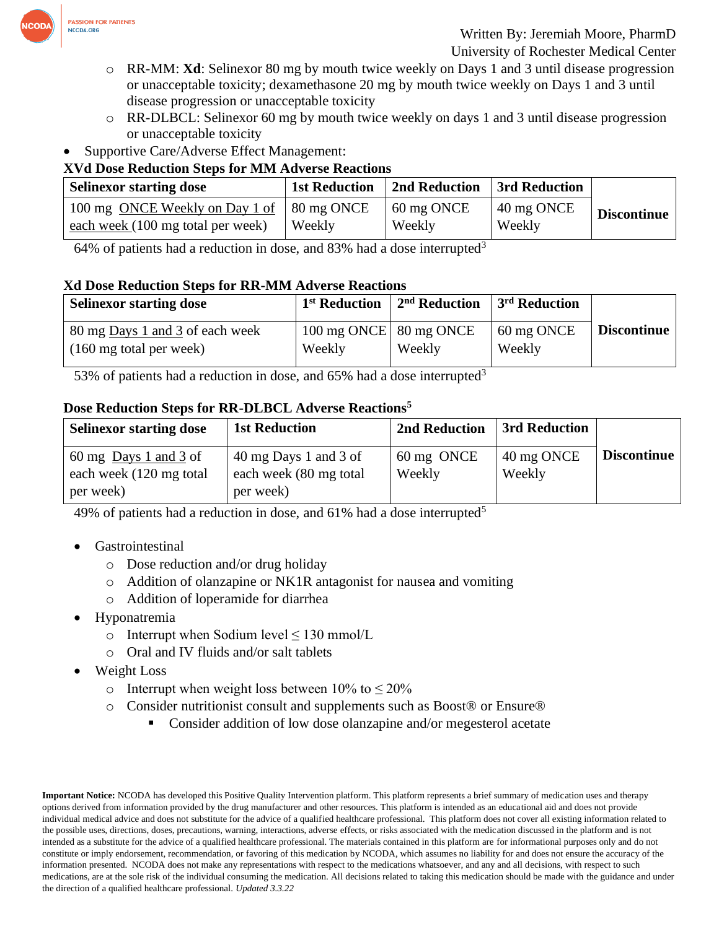

- o RR-MM: **Xd**: Selinexor 80 mg by mouth twice weekly on Days 1 and 3 until disease progression or unacceptable toxicity; dexamethasone 20 mg by mouth twice weekly on Days 1 and 3 until disease progression or unacceptable toxicity
- o RR-DLBCL: Selinexor 60 mg by mouth twice weekly on days 1 and 3 until disease progression or unacceptable toxicity
- Supportive Care/Adverse Effect Management:

# **XVd Dose Reduction Steps for MM Adverse Reactions**

| <b>Selinexor starting dose</b>    | <b>1st Reduction</b>     | 2nd Reduction | 3rd Reduction |                    |
|-----------------------------------|--------------------------|---------------|---------------|--------------------|
| 100 mg ONCE Weekly on Day 1 of    | $\frac{1}{2}$ 80 mg ONCE | 60 mg ONCE    | 40 mg ONCE    | <b>Discontinue</b> |
| each week (100 mg total per week) | Weekly                   | Weekly        | Weekly        |                    |

64% of patients had a reduction in dose, and 83% had a dose interrupted<sup>3</sup>

## **Xd Dose Reduction Steps for RR-MM Adverse Reactions**

| <b>Selinexor starting dose</b>    | 1 <sup>st</sup> Reduction | $2nd$ Reduction | 3 <sup>rd</sup> Reduction |             |
|-----------------------------------|---------------------------|-----------------|---------------------------|-------------|
| 80 mg Days 1 and 3 of each week   | 100 mg ONCE   80 mg ONCE  |                 | 60 mg ONCE                | Discontinue |
| $(160 \text{ mg total per week})$ | Weekly                    | Weekly          | Weekly                    |             |

53% of patients had a reduction in dose, and 65% had a dose interrupted<sup>3</sup>

## **Dose Reduction Steps for RR-DLBCL Adverse Reactions<sup>5</sup>**

| <b>Selinexor starting dose</b>    | <b>1st Reduction</b>                        | 2nd Reduction | 3rd Reduction |                    |
|-----------------------------------|---------------------------------------------|---------------|---------------|--------------------|
| 60 mg $_{\text{Days}}$ 1 and 3 of | $40 \text{ mg Days} 1$ and $3 \text{ of} 3$ | 60 mg ONCE    | 40 mg ONCE    | <b>Discontinue</b> |
| each week (120 mg total)          | each week (80 mg total)                     | Weekly        | Weekly        |                    |
| per week)                         | per week)                                   |               |               |                    |

49% of patients had a reduction in dose, and 61% had a dose interrupted<sup>5</sup>

- **Gastrointestinal** 
	- o Dose reduction and/or drug holiday
	- o Addition of olanzapine or NK1R antagonist for nausea and vomiting
	- o Addition of loperamide for diarrhea
- Hyponatremia
	- o Interrupt when Sodium level  $\leq 130$  mmol/L
	- o Oral and IV fluids and/or salt tablets
- Weight Loss
	- o Interrupt when weight loss between  $10\%$  to  $\leq 20\%$
	- o Consider nutritionist consult and supplements such as Boost® or Ensure®
		- Consider addition of low dose olanzapine and/or megesterol acetate

**Important Notice:** NCODA has developed this Positive Quality Intervention platform. This platform represents a brief summary of medication uses and therapy options derived from information provided by the drug manufacturer and other resources. This platform is intended as an educational aid and does not provide individual medical advice and does not substitute for the advice of a qualified healthcare professional. This platform does not cover all existing information related to the possible uses, directions, doses, precautions, warning, interactions, adverse effects, or risks associated with the medication discussed in the platform and is not intended as a substitute for the advice of a qualified healthcare professional. The materials contained in this platform are for informational purposes only and do not constitute or imply endorsement, recommendation, or favoring of this medication by NCODA, which assumes no liability for and does not ensure the accuracy of the information presented. NCODA does not make any representations with respect to the medications whatsoever, and any and all decisions, with respect to such medications, are at the sole risk of the individual consuming the medication. All decisions related to taking this medication should be made with the guidance and under the direction of a qualified healthcare professional. *Updated 3.3.22*